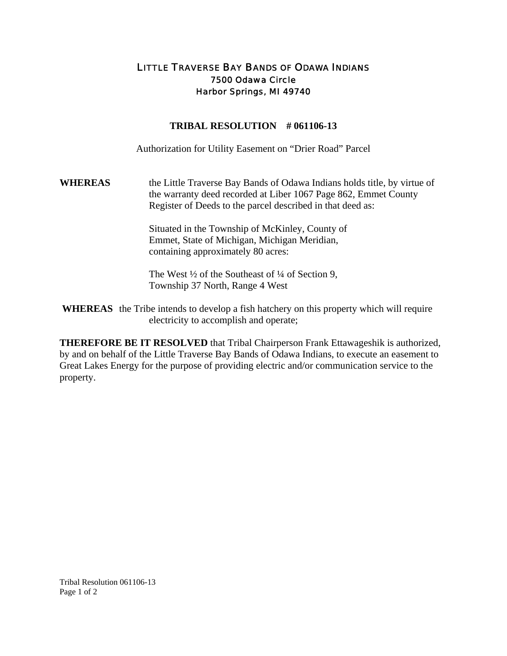## LITTLE TRAVERSE BAY BANDS OF ODAWA INDIANS 7500 Odawa Circle Harbor Springs, MI 49740

## **TRIBAL RESOLUTION # 061106-13**

Authorization for Utility Easement on "Drier Road" Parcel

**WHEREAS** the Little Traverse Bay Bands of Odawa Indians holds title, by virtue of the warranty deed recorded at Liber 1067 Page 862, Emmet County Register of Deeds to the parcel described in that deed as:

> Situated in the Township of McKinley, County of Emmet, State of Michigan, Michigan Meridian, containing approximately 80 acres:

The West ½ of the Southeast of ¼ of Section 9, Township 37 North, Range 4 West

**WHEREAS** the Tribe intends to develop a fish hatchery on this property which will require electricity to accomplish and operate;

**THEREFORE BE IT RESOLVED** that Tribal Chairperson Frank Ettawageshik is authorized, by and on behalf of the Little Traverse Bay Bands of Odawa Indians, to execute an easement to Great Lakes Energy for the purpose of providing electric and/or communication service to the property.

Tribal Resolution 061106-13 Page 1 of 2